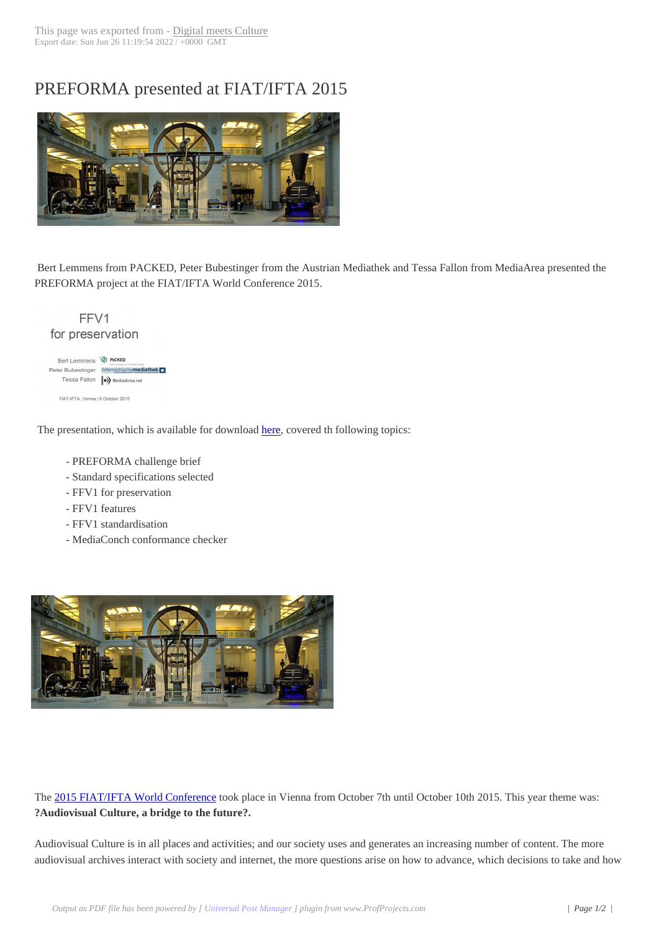## PREFORMA prese[nted at FIAT/](http://www.digitalmeetsculture.net/?p=38294)IFTA 2015



Bert Lemmens from PACKED, Peter Bubestinger from the Austrian Mediathek and Tessa Fallon from MediaArea presented the PREFORMA project at the FIAT/IFTA World Conference 2015.

| for preservation          |                          |
|---------------------------|--------------------------|
| Bert Lemmens <sup>3</sup> | PACKED                   |
| Peter Bubestinger         | österreichischemediathek |
| Tessa Fallon              | (o) MediaArea.net        |

The presentation, which is available for download here, covered th following topics:

- PREFORMA challenge brief
- Standard specifications selected
- FFV1 for preservation
- FFV1 features
- FFV1 standardisation
- MediaConch conformance checker



The 2015 FIAT/IFTA World Conference took place in Vienna from October 7th until October 10th 2015. This year theme was: **?Audiovisual Culture, a bridge to the future?.**

Aud[iovisual Culture is in all places and ac](http://fiatifta.org/world-conference-2015-vienna/)tivities; and our society uses and generates an increasing number of content. The more audiovisual archives interact with society and internet, the more questions arise on how to advance, which decisions to take and how